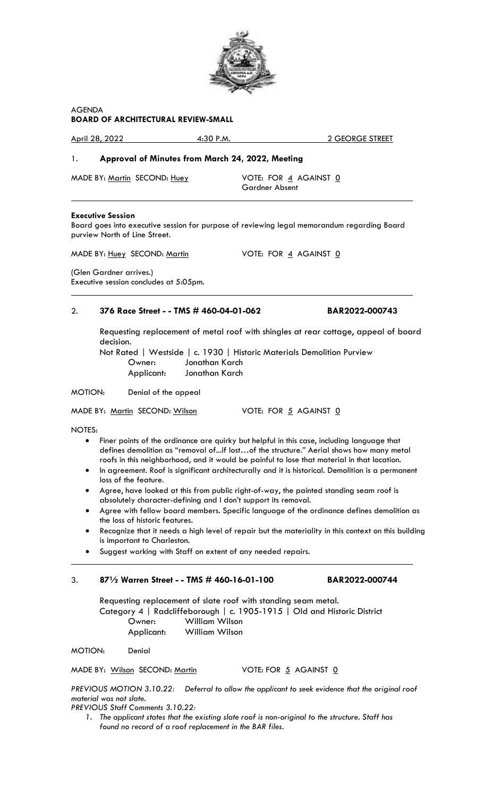

# AGENDA **BOARD OF ARCHITECTURAL REVIEW-SMALL**

April 28, 2022 4:30 P.M. 2 GEORGE STREET

# 1. **Approval of Minutes from March 24, 2022, Meeting**

MADE BY: Martin SECOND: Huey VOTE: FOR 4 AGAINST 0

Gardner Absent

## **Executive Session**

 $\overline{a}$ 

 $\overline{a}$ 

Board goes into executive session for purpose of reviewing legal memorandum regarding Board purview North of Line Street.

MADE BY: Huey SECOND: Martin VOTE: FOR 4 AGAINST 0

(Glen Gardner arrives.) Executive session concludes at 5:05pm.

# 2. **376 Race Street - - TMS # 460-04-01-062 BAR2022-000743**

Requesting replacement of metal roof with shingles at rear cottage, appeal of board decision.

Not Rated | Westside | c. 1930 | Historic Materials Demolition Purview Owner: Jonathan Karch Applicant: Jonathan Karch

MOTION: Denial of the appeal

MADE BY: Martin SECOND: Wilson VOTE: FOR 5 AGAINST 0

NOTES:

 $\overline{a}$ 

- Finer points of the ordinance are quirky but helpful in this case, including language that defines demolition as "removal of...if lost…of the structure." Aerial shows how many metal roofs in this neighborhood, and it would be painful to lose that material in that location.
- In agreement. Roof is significant architecturally and it is historical. Demolition is a permanent loss of the feature.
- Agree, have looked at this from public right-of-way, the painted standing seam roof is absolutely character-defining and I don't support its removal.
- Agree with fellow board members. Specific language of the ordinance defines demolition as the loss of historic features.
- Recognize that it needs a high level of repair but the materiality in this context on this building is important to Charleston.
- Suggest working with Staff on extent of any needed repairs.

# 3. **87½ Warren Street - - TMS # 460-16-01-100 BAR2022-000744**

Requesting replacement of slate roof with standing seam metal. Category 4 | Radcliffeborough | c. 1905-1915 | Old and Historic District Owner: William Wilson Applicant: William Wilson

MOTION: Denial

MADE BY: Wilson SECOND: Martin VOTE: FOR 5 AGAINST 0

*PREVIOUS MOTION 3.10.22: Deferral to allow the applicant to seek evidence that the original roof material was not slate.*

*PREVIOUS Staff Comments 3.10.22:*

*1. The applicant states that the existing slate roof is non-original to the structure. Staff has found no record of a roof replacement in the BAR files.*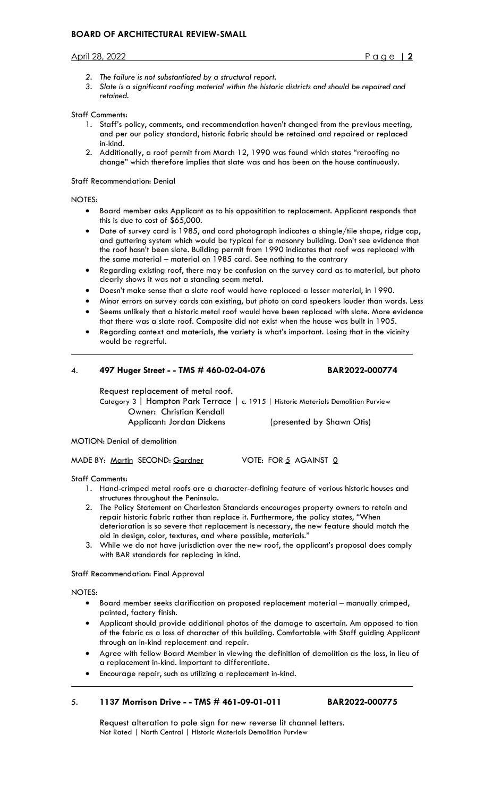- *2. The failure is not substantiated by a structural report.*
- *3. Slate is a significant roofing material within the historic districts and should be repaired and retained.*

## Staff Comments:

- 1. Staff's policy, comments, and recommendation haven't changed from the previous meeting, and per our policy standard, historic fabric should be retained and repaired or replaced in-kind.
- 2. Additionally, a roof permit from March 12, 1990 was found which states "reroofing no change" which therefore implies that slate was and has been on the house continuously.

### Staff Recommendation: Denial

NOTES:

 $\ddot{\phantom{a}}$ 

- Board member asks Applicant as to his oppositition to replacement. Applicant responds that this is due to cost of \$65,000.
- Date of survey card is 1985, and card photograph indicates a shingle/tile shape, ridge cap, and guttering system which would be typical for a masonry building. Don't see evidence that the roof hasn't been slate. Building permit from 1990 indicates that roof was replaced with the same material – material on 1985 card. See nothing to the contrary
- Regarding existing roof, there may be confusion on the survey card as to material, but photo clearly shows it was not a standing seam metal.
- Doesn't make sense that a slate roof would have replaced a lesser material, in 1990.
- Minor errors on survey cards can existing, but photo on card speakers louder than words. Less
- Seems unlikely that a historic metal roof would have been replaced with slate. More evidence that there was a slate roof. Composite did not exist when the house was built in 1905.
- Regarding context and materials, the variety is what's important. Losing that in the vicinity would be regretful.

## 4. **497 Huger Street - - TMS # 460-02-04-076 BAR2022-000774**

Request replacement of metal roof. Category 3 | Hampton Park Terrace | c. 1915 | Historic Materials Demolition Purview Owner: Christian Kendall Applicant: Jordan Dickens (presented by Shawn Otis)

MOTION: Denial of demolition

MADE BY: Martin SECOND: Gardner VOTE: FOR 5 AGAINST 0

Staff Comments:

- 1. Hand-crimped metal roofs are a character-defining feature of various historic houses and structures throughout the Peninsula.
- 2. The Policy Statement on Charleston Standards encourages property owners to retain and repair historic fabric rather than replace it. Furthermore, the policy states, "When deterioration is so severe that replacement is necessary, the new feature should match the old in design, color, textures, and where possible, materials."
- 3. While we do not have jurisdiction over the new roof, the applicant's proposal does comply with BAR standards for replacing in kind.

Staff Recommendation: Final Approval

NOTES:

 $\ddot{\phantom{a}}$ 

- Board member seeks clarification on proposed replacement material manually crimped, painted, factory finish.
- Applicant should provide additional photos of the damage to ascertain. Am opposed to tion of the fabric as a loss of character of this building. Comfortable with Staff guiding Applicant through an in-kind replacement and repair.
- Agree with fellow Board Member in viewing the definition of demolition as the loss, in lieu of a replacement in-kind. Important to differentiate.
- Encourage repair, such as utilizing a replacement in-kind.

# 5. **1137 Morrison Drive - - TMS # 461-09-01-011 BAR2022-000775**

Request alteration to pole sign for new reverse lit channel letters. Not Rated | North Central | Historic Materials Demolition Purview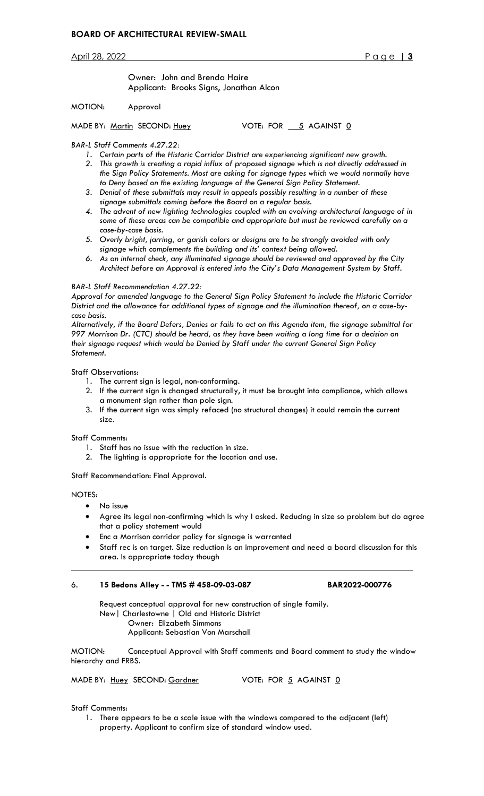Owner: John and Brenda Haire Applicant: Brooks Signs, Jonathan Alcon

## MOTION: Approval

MADE BY: Martin SECOND: Huey VOTE: FOR 5 AGAINST 0

## *BAR-L Staff Comments 4.27.22:*

- *1. Certain parts of the Historic Corridor District are experiencing significant new growth.*
- *2. This growth is creating a rapid influx of proposed signage which is not directly addressed in the Sign Policy Statements. Most are asking for signage types which we would normally have to Deny based on the existing language of the General Sign Policy Statement.*
- *3. Denial of these submittals may result in appeals possibly resulting in a number of these signage submittals coming before the Board on a regular basis.*
- *4. The advent of new lighting technologies coupled with an evolving architectural language of in some of these areas can be compatible and appropriate but must be reviewed carefully on a case-by-case basis.*
- *5. Overly bright, jarring, or garish colors or designs are to be strongly avoided with only signage which complements the building and its' context being allowed.*
- *6. As an internal check, any illuminated signage should be reviewed and approved by the City Architect before an Approval is entered into the City's Data Management System by Staff.*

## *BAR-L Staff Recommendation 4.27.22:*

*Approval for amended language to the General Sign Policy Statement to include the Historic Corridor District and the allowance for additional types of signage and the illumination thereof, on a case-bycase basis.*

*Alternatively, if the Board Defers, Denies or fails to act on this Agenda item, the signage submittal for 997 Morrison Dr. (CTC) should be heard, as they have been waiting a long time for a decision on their signage request which would be Denied by Staff under the current General Sign Policy Statement.*

## Staff Observations:

- 1. The current sign is legal, non-conforming.
- 2. If the current sign is changed structurally, it must be brought into compliance, which allows a monument sign rather than pole sign.
- 3. If the current sign was simply refaced (no structural changes) it could remain the current size.

## Staff Comments:

- 1. Staff has no issue with the reduction in size.
- 2. The lighting is appropriate for the location and use.

Staff Recommendation: Final Approval.

NOTES:

 $\overline{a}$ 

- No issue
- Agree its legal non-confirming which Is why I asked. Reducing in size so problem but do agree that a policy statement would
- Enc a Morrison corridor policy for signage is warranted
- Staff rec is on target. Size reduction is an improvement and need a board discussion for this area. Is appropriate today though

## 6. **15 Bedons Alley - - TMS # 458-09-03-087 BAR2022-000776**

Request conceptual approval for new construction of single family. New| Charlestowne | Old and Historic District Owner: Elizabeth Simmons Applicant: Sebastian Von Marschall

MOTION: Conceptual Approval with Staff comments and Board comment to study the window hierarchy and FRBS.

MADE BY: Huey SECOND: Gardner VOTE: FOR 5 AGAINST 0

## Staff Comments:

1. There appears to be a scale issue with the windows compared to the adjacent (left) property. Applicant to confirm size of standard window used.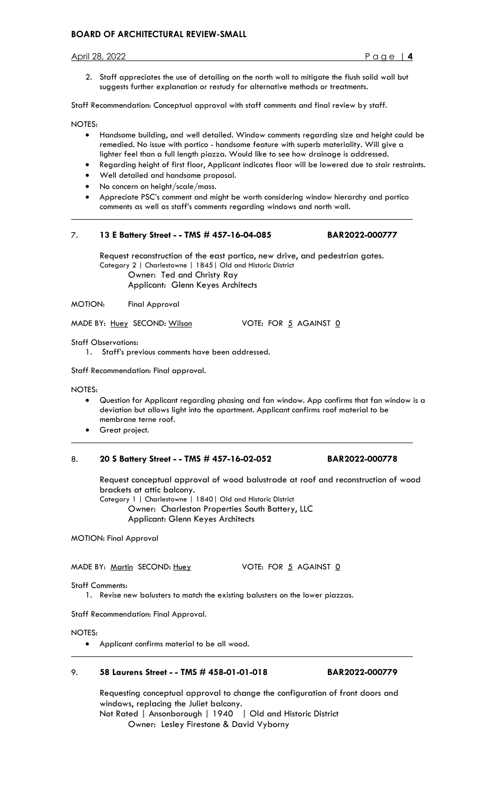# **BOARD OF ARCHITECTURAL REVIEW-SMALL**

April 28, 2022 Page | **4**

2. Staff appreciates the use of detailing on the north wall to mitigate the flush solid wall but suggests further explanation or restudy for alternative methods or treatments.

Staff Recommendation: Conceptual approval with staff comments and final review by staff.

NOTES:

 $\ddot{\phantom{a}}$ 

- Handsome building, and well detailed. Window comments regarding size and height could be remedied. No issue with portico - handsome feature with superb materiality. Will give a lighter feel than a full length piazza. Would like to see how drainage is addressed.
- Regarding height of first floor, Applicant indicates floor will be lowered due to stair restraints.
- Well detailed and handsome proposal.
- No concern on height/scale/mass.
- Appreciate PSC's comment and might be worth considering window hierarchy and portico comments as well as staff's comments regarding windows and north wall.

# 7. **13 E Battery Street - - TMS # 457-16-04-085 BAR2022-000777**

Request reconstruction of the east portico, new drive, and pedestrian gates. Category 2 | Charlestowne | 1845| Old and Historic District Owner: Ted and Christy Ray Applicant: Glenn Keyes Architects

MOTION: Final Approval

MADE BY: Huey SECOND: Wilson VOTE: FOR 5 AGAINST 0

Staff Observations:

1. Staff's previous comments have been addressed.

Staff Recommendation: Final approval.

NOTES:

 $\overline{a}$ 

- Question for Applicant regarding phasing and fan window. App confirms that fan window is a deviation but allows light into the apartment. Applicant confirms roof material to be membrane terne roof.
- Great project.

# 8. **20 S Battery Street - - TMS # 457-16-02-052 BAR2022-000778**

Request conceptual approval of wood balustrade at roof and reconstruction of wood brackets at attic balcony.

Category 1 | Charlestowne | 1840| Old and Historic District Owner: Charleston Properties South Battery, LLC Applicant: Glenn Keyes Architects

MOTION: Final Approval

MADE BY: Martin SECOND: Huey VOTE: FOR 5 AGAINST 0

Staff Comments:

1. Revise new balusters to match the existing balusters on the lower piazzas.

Staff Recommendation: Final Approval.

NOTES:

 $\overline{a}$ 

• Applicant confirms material to be all wood.

# 9. **58 Laurens Street - - TMS # 458-01-01-018 BAR2022-000779**

Requesting conceptual approval to change the configuration of front doors and windows, replacing the Juliet balcony. Not Rated | Ansonborough | 1940 | Old and Historic District

Owner: Lesley Firestone & David Vyborny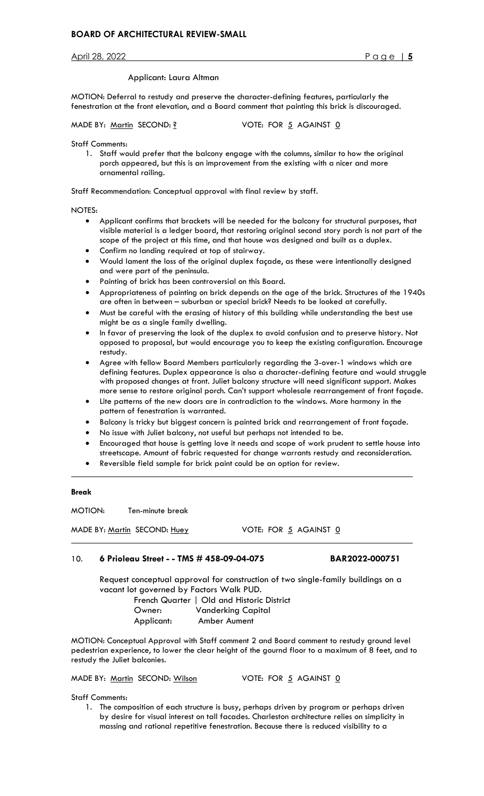## Applicant: Laura Altman

MOTION: Deferral to restudy and preserve the character-defining features, particularly the fenestration at the front elevation, and a Board comment that painting this brick is discouraged.

MADE BY: Martin SECOND: ? VOTE: FOR 5 AGAINST 0

Staff Comments:

1. Staff would prefer that the balcony engage with the columns, similar to how the original porch appeared, but this is an improvement from the existing with a nicer and more ornamental railing.

Staff Recommendation: Conceptual approval with final review by staff.

### NOTES:

- Applicant confirms that brackets will be needed for the balcony for structural purposes, that visible material is a ledger board, that restoring original second story porch is not part of the scope of the project at this time, and that house was designed and built as a duplex.
- Confirm no landing required at top of stairway.
- Would lament the loss of the original duplex façade, as these were intentionally designed and were part of the peninsula.
- Painting of brick has been controversial on this Board.
- Appropriateness of painting on brick depends on the age of the brick. Structures of the 1940s are often in between – suburban or special brick? Needs to be looked at carefully.
- Must be careful with the erasing of history of this building while understanding the best use might be as a single family dwelling.
- In favor of preserving the look of the duplex to avoid confusion and to preserve history. Not opposed to proposal, but would encourage you to keep the existing configuration. Encourage restudy.
- Agree with fellow Board Members particularly regarding the 3-over-1 windows which are defining features. Duplex appearance is also a character-defining feature and would struggle with proposed changes at front. Juliet balcony structure will need significant support. Makes more sense to restore original porch. Can't support wholesale rearrangement of front façade.
- Lite patterns of the new doors are in contradiction to the windows. More harmony in the pattern of fenestration is warranted.
- Balcony is tricky but biggest concern is painted brick and rearrangement of front façade.
- No issue with Juliet balcony, not useful but perhaps not intended to be.
- Encouraged that house is getting love it needs and scope of work prudent to settle house into streetscape. Amount of fabric requested for change warrants restudy and reconsideration.
- Reversible field sample for brick paint could be an option for review.

#### **Break**

 $\overline{a}$ 

 $\ddot{\phantom{a}}$ 

MOTION: Ten-minute break

MADE BY: Martin SECOND: Huey VOTE: FOR 5 AGAINST 0

# 10. **6 Prioleau Street - - TMS # 458-09-04-075 BAR2022-000751**

Request conceptual approval for construction of two single-family buildings on a vacant lot governed by Factors Walk PUD.

 French Quarter | Old and Historic District Owner: Vanderking Capital Applicant: Amber Aument

MOTION: Conceptual Approval with Staff comment 2 and Board comment to restudy ground level pedestrian experience, to lower the clear height of the gournd floor to a maximum of 8 feet, and to restudy the Juliet balconies.

MADE BY: Martin SECOND: Wilson VOTE: FOR 5 AGAINST 0

Staff Comments:

1. The composition of each structure is busy, perhaps driven by program or perhaps driven by desire for visual interest on tall facades. Charleston architecture relies on simplicity in massing and rational repetitive fenestration. Because there is reduced visibility to a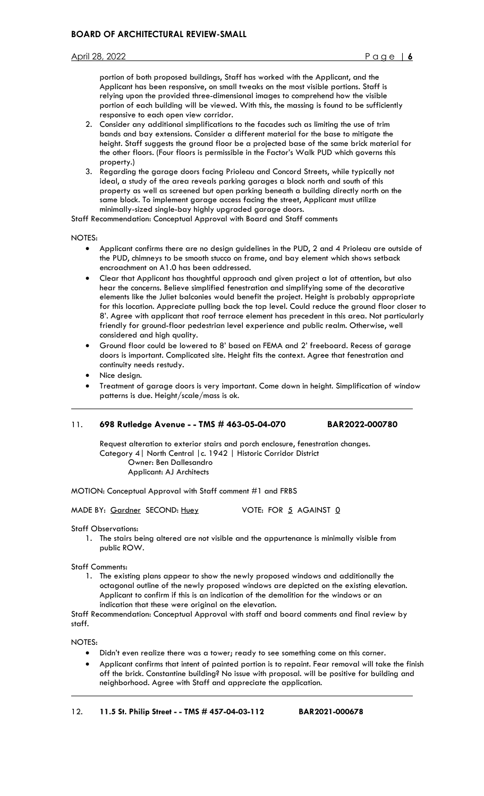portion of both proposed buildings, Staff has worked with the Applicant, and the Applicant has been responsive, on small tweaks on the most visible portions. Staff is relying upon the provided three-dimensional images to comprehend how the visible portion of each building will be viewed. With this, the massing is found to be sufficiently responsive to each open view corridor.

- 2. Consider any additional simplifications to the facades such as limiting the use of trim bands and bay extensions. Consider a different material for the base to mitigate the height. Staff suggests the ground floor be a projected base of the same brick material for the other floors. (Four floors is permissible in the Factor's Walk PUD which governs this property.)
- 3. Regarding the garage doors facing Prioleau and Concord Streets, while typically not ideal, a study of the area reveals parking garages a block north and south of this property as well as screened but open parking beneath a building directly north on the same block. To implement garage access facing the street, Applicant must utilize minimally-sized single-bay highly upgraded garage doors.

Staff Recommendation: Conceptual Approval with Board and Staff comments

NOTES:

 $\overline{a}$ 

- Applicant confirms there are no design guidelines in the PUD, 2 and 4 Prioleau are outside of the PUD, chimneys to be smooth stucco on frame, and bay element which shows setback encroachment on A1.0 has been addressed.
- Clear that Applicant has thoughtful approach and given project a lot of attention, but also hear the concerns. Believe simplified fenestration and simplifying some of the decorative elements like the Juliet balconies would benefit the project. Height is probably appropriate for this location. Appreciate pulling back the top level. Could reduce the ground floor closer to 8'. Agree with applicant that roof terrace element has precedent in this area. Not particularly friendly for ground-floor pedestrian level experience and public realm. Otherwise, well considered and high quality.
- Ground floor could be lowered to 8' based on FEMA and 2' freeboard. Recess of garage doors is important. Complicated site. Height fits the context. Agree that fenestration and continuity needs restudy.
- Nice design.
- Treatment of garage doors is very important. Come down in height. Simplification of window patterns is due. Height/scale/mass is ok.

# 11. **698 Rutledge Avenue - - TMS # 463-05-04-070 BAR2022-000780**

Request alteration to exterior stairs and porch enclosure, fenestration changes. Category 4| North Central |c. 1942 | Historic Corridor District Owner: Ben Dallesandro Applicant: AJ Architects

MOTION: Conceptual Approval with Staff comment #1 and FRBS

MADE BY: Gardner SECOND: Huey VOTE: FOR 5 AGAINST 0

Staff Observations:

1. The stairs being altered are not visible and the appurtenance is minimally visible from public ROW.

Staff Comments:

1. The existing plans appear to show the newly proposed windows and additionally the octagonal outline of the newly proposed windows are depicted on the existing elevation. Applicant to confirm if this is an indication of the demolition for the windows or an indication that these were original on the elevation.

Staff Recommendation: Conceptual Approval with staff and board comments and final review by staff.

NOTES:

 $\overline{a}$ 

- Didn't even realize there was a tower; ready to see something come on this corner.
- Applicant confirms that intent of painted portion is to repaint. Fear removal will take the finish off the brick. Constantine building? No issue with proposal. will be positive for building and neighborhood. Agree with Staff and appreciate the application.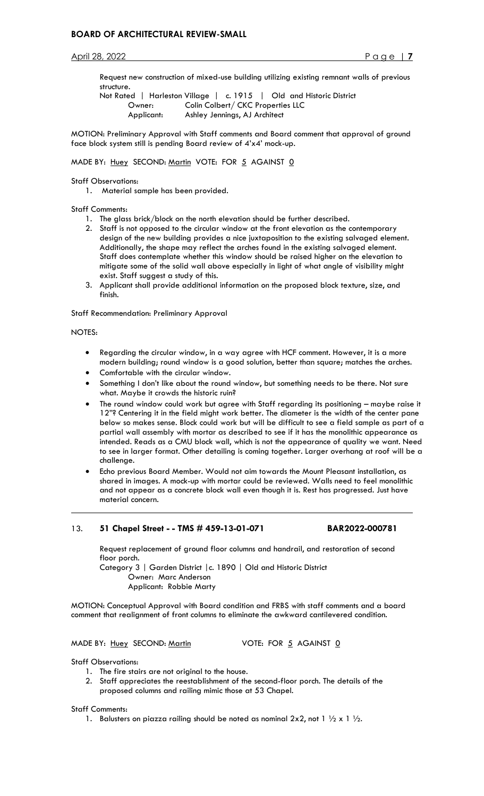Request new construction of mixed-use building utilizing existing remnant walls of previous structure.

Not Rated | Harleston Village | c. 1915 | Old and Historic District Owner: Colin Colbert/ CKC Properties LLC Applicant: Ashley Jennings, AJ Architect

MOTION: Preliminary Approval with Staff comments and Board comment that approval of ground face block system still is pending Board review of 4'x4' mock-up.

MADE BY: Huey SECOND: Martin VOTE: FOR 5 AGAINST 0

Staff Observations:

1. Material sample has been provided.

## Staff Comments:

- 1. The glass brick/block on the north elevation should be further described.
- 2. Staff is not opposed to the circular window at the front elevation as the contemporary design of the new building provides a nice juxtaposition to the existing salvaged element. Additionally, the shape may reflect the arches found in the existing salvaged element. Staff does contemplate whether this window should be raised higher on the elevation to mitigate some of the solid wall above especially in light of what angle of visibility might exist. Staff suggest a study of this.
- 3. Applicant shall provide additional information on the proposed block texture, size, and finish.

Staff Recommendation: Preliminary Approval

## NOTES:

 $\ddot{\phantom{a}}$ 

- Regarding the circular window, in a way agree with HCF comment. However, it is a more modern building; round window is a good solution, better than square; matches the arches.
- Comfortable with the circular window.
- Something I don't like about the round window, but something needs to be there. Not sure what. Maybe it crowds the historic ruin?
- The round window could work but agree with Staff regarding its positioning maybe raise it 12"? Centering it in the field might work better. The diameter is the width of the center pane below so makes sense. Block could work but will be difficult to see a field sample as part of a partial wall assembly with mortar as described to see if it has the monolithic appearance as intended. Reads as a CMU block wall, which is not the appearance of quality we want. Need to see in larger format. Other detailing is coming together. Larger overhang at roof will be a challenge.
- Echo previous Board Member. Would not aim towards the Mount Pleasant installation, as shared in images. A mock-up with mortar could be reviewed. Walls need to feel monolithic and not appear as a concrete block wall even though it is. Rest has progressed. Just have material concern.

# 13. **51 Chapel Street - - TMS # 459-13-01-071 BAR2022-000781**

Request replacement of ground floor columns and handrail, and restoration of second floor porch.

 Category 3 | Garden District |c. 1890 | Old and Historic District Owner: Marc Anderson Applicant: Robbie Marty

MOTION: Conceptual Approval with Board condition and FRBS with staff comments and a board comment that realignment of front columns to eliminate the awkward cantilevered condition.

## MADE BY: Huey SECOND: Martin VOTE: FOR 5 AGAINST 0

Staff Observations:

- 1. The fire stairs are not original to the house.
- 2. Staff appreciates the reestablishment of the second-floor porch. The details of the proposed columns and railing mimic those at 53 Chapel.

## Staff Comments:

1. Balusters on piazza railing should be noted as nominal  $2 \times 2$ , not  $1 \frac{1}{2} \times 1 \frac{1}{2}$ .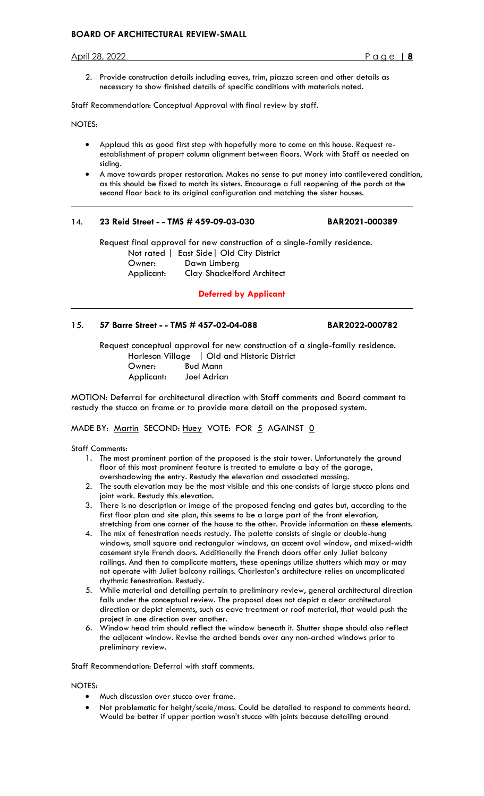# **BOARD OF ARCHITECTURAL REVIEW-SMALL**

April 28, 2022 Page | **8**

2. Provide construction details including eaves, trim, piazza screen and other details as necessary to show finished details of specific conditions with materials noted.

Staff Recommendation: Conceptual Approval with final review by staff.

NOTES:

 $\overline{a}$ 

- Applaud this as good first step with hopefully more to come on this house. Request reestablishment of propert column alignment between floors. Work with Staff as needed on siding.
- A move towards proper restoration. Makes no sense to put money into cantilevered condition, as this should be fixed to match its sisters. Encourage a full reopening of the porch at the second floor back to its original configuration and matching the sister houses.

# 14. **23 Reid Street - - TMS # 459-09-03-030 BAR2021-000389**

Request final approval for new construction of a single-family residence. Not rated | East Side| Old City District Owner: Dawn Limberg Applicant: Clay Shackelford Architect

**Deferred by Applicant**

# 15. **57 Barre Street - - TMS # 457-02-04-088 BAR2022-000782**

Request conceptual approval for new construction of a single-family residence. Harleson Village | Old and Historic District Owner: Bud Mann Applicant: Joel Adrian

MOTION: Deferral for architectural direction with Staff comments and Board comment to restudy the stucco on frame or to provide more detail on the proposed system.

MADE BY: Martin SECOND: Huey VOTE: FOR 5 AGAINST 0

Staff Comments:

- 1. The most prominent portion of the proposed is the stair tower. Unfortunately the ground floor of this most prominent feature is treated to emulate a bay of the garage, overshadowing the entry. Restudy the elevation and associated massing.
- 2. The south elevation may be the most visible and this one consists of large stucco plans and joint work. Restudy this elevation.
- 3. There is no description or image of the proposed fencing and gates but, according to the first floor plan and site plan, this seems to be a large part of the front elevation, stretching from one corner of the house to the other. Provide information on these elements.
- 4. The mix of fenestration needs restudy. The palette consists of single or double-hung windows, small square and rectangular windows, an accent oval window, and mixed-width casement style French doors. Additionally the French doors offer only Juliet balcony railings. And then to complicate matters, these openings utilize shutters which may or may not operate with Juliet balcony railings. Charleston's architecture relies on uncomplicated rhythmic fenestration. Restudy.
- 5. While material and detailing pertain to preliminary review, general architectural direction falls under the conceptual review. The proposal does not depict a clear architectural direction or depict elements, such as eave treatment or roof material, that would push the project in one direction over another.
- 6. Window head trim should reflect the window beneath it. Shutter shape should also reflect the adjacent window. Revise the arched bands over any non-arched windows prior to preliminary review.

Staff Recommendation: Deferral with staff comments.

## NOTES:

- Much discussion over stucco over frame.
- Not problematic for height/scale/mass. Could be detailed to respond to comments heard. Would be better if upper portion wasn't stucco with joints because detailing around